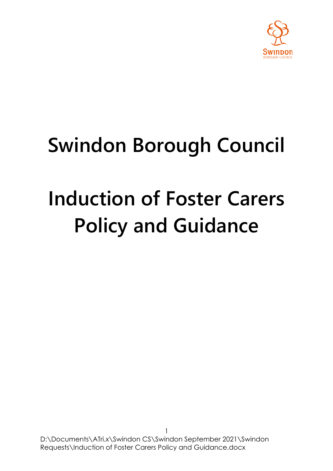

## **Swindon Borough Council**

# **Induction of Foster Carers Policy and Guidance**

D:\Documents\ATri.x\Swindon CS\Swindon September 2021\Swindon Requests\Induction of Foster Carers Policy and Guidance.docx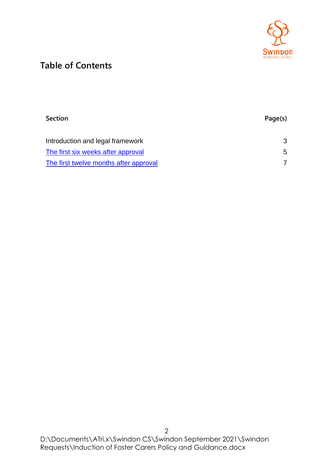

## **Table of Contents**

| <b>Section</b>                         | Page(s) |
|----------------------------------------|---------|
| Introduction and legal framework       | 3       |
| The first six weeks after approval     | 5.      |
| The first twelve months after approval |         |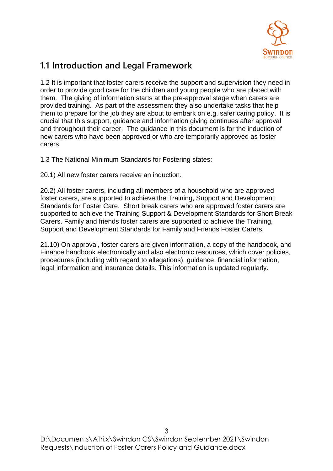

### **1.1 Introduction and Legal Framework**

1.2 It is important that foster carers receive the support and supervision they need in order to provide good care for the children and young people who are placed with them. The giving of information starts at the pre-approval stage when carers are provided training. As part of the assessment they also undertake tasks that help them to prepare for the job they are about to embark on e.g. safer caring policy. It is crucial that this support, guidance and information giving continues after approval and throughout their career. The guidance in this document is for the induction of new carers who have been approved or who are temporarily approved as foster carers.

1.3 The National Minimum Standards for Fostering states:

20.1) All new foster carers receive an induction.

20.2) All foster carers, including all members of a household who are approved foster carers, are supported to achieve the Training, Support and Development Standards for Foster Care. Short break carers who are approved foster carers are supported to achieve the Training Support & Development Standards for Short Break Carers. Family and friends foster carers are supported to achieve the Training, Support and Development Standards for Family and Friends Foster Carers.

21.10) On approval, foster carers are given information, a copy of the handbook, and Finance handbook electronically and also electronic resources, which cover policies, procedures (including with regard to allegations), guidance, financial information, legal information and insurance details. This information is updated regularly.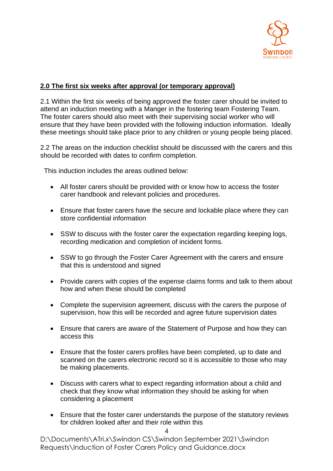

#### **2.0 The first six weeks after approval (or temporary approval)**

2.1 Within the first six weeks of being approved the foster carer should be invited to attend an induction meeting with a Manger in the fostering team Fostering Team. The foster carers should also meet with their supervising social worker who will ensure that they have been provided with the following induction information. Ideally these meetings should take place prior to any children or young people being placed.

2.2 The areas on the induction checklist should be discussed with the carers and this should be recorded with dates to confirm completion.

This induction includes the areas outlined below:

- All foster carers should be provided with or know how to access the foster carer handbook and relevant policies and procedures.
- Ensure that foster carers have the secure and lockable place where they can store confidential information
- SSW to discuss with the foster carer the expectation regarding keeping logs, recording medication and completion of incident forms.
- SSW to go through the Foster Carer Agreement with the carers and ensure that this is understood and signed
- Provide carers with copies of the expense claims forms and talk to them about how and when these should be completed
- Complete the supervision agreement, discuss with the carers the purpose of supervision, how this will be recorded and agree future supervision dates
- Ensure that carers are aware of the Statement of Purpose and how they can access this
- Ensure that the foster carers profiles have been completed, up to date and scanned on the carers electronic record so it is accessible to those who may be making placements.
- Discuss with carers what to expect regarding information about a child and check that they know what information they should be asking for when considering a placement
- Ensure that the foster carer understands the purpose of the statutory reviews for children looked after and their role within this

4

D:\Documents\ATri.x\Swindon CS\Swindon September 2021\Swindon Requests\Induction of Foster Carers Policy and Guidance.docx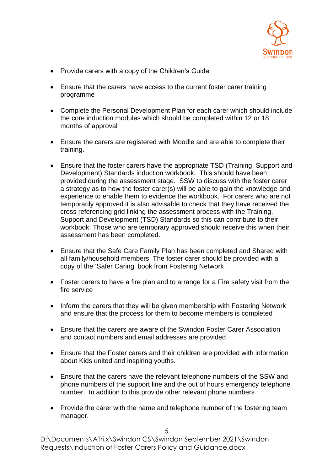

- Provide carers with a copy of the Children's Guide
- Ensure that the carers have access to the current foster carer training programme
- Complete the Personal Development Plan for each carer which should include the core induction modules which should be completed within 12 or 18 months of approval
- Ensure the carers are registered with Moodle and are able to complete their training.
- Ensure that the foster carers have the appropriate TSD (Training, Support and Development) Standards induction workbook. This should have been provided during the assessment stage. SSW to discuss with the foster carer a strategy as to how the foster carer(s) will be able to gain the knowledge and experience to enable them to evidence the workbook. For carers who are not temporarily approved it is also advisable to check that they have received the cross referencing grid linking the assessment process with the Training, Support and Development (TSD) Standards so this can contribute to their workbook. Those who are temporary approved should receive this when their assessment has been completed.
- Ensure that the Safe Care Family Plan has been completed and Shared with all family/household members. The foster carer should be provided with a copy of the 'Safer Caring' book from Fostering Network
- Foster carers to have a fire plan and to arrange for a Fire safety visit from the fire service
- Inform the carers that they will be given membership with Fostering Network and ensure that the process for them to become members is completed
- Ensure that the carers are aware of the Swindon Foster Carer Association and contact numbers and email addresses are provided
- Ensure that the Foster carers and their children are provided with information about Kids united and inspiring youths.
- Ensure that the carers have the relevant telephone numbers of the SSW and phone numbers of the support line and the out of hours emergency telephone number. In addition to this provide other relevant phone numbers
- Provide the carer with the name and telephone number of the fostering team manager.

D:\Documents\ATri.x\Swindon CS\Swindon September 2021\Swindon Requests\Induction of Foster Carers Policy and Guidance.docx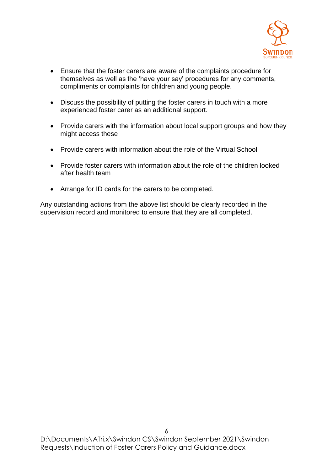

- Ensure that the foster carers are aware of the complaints procedure for themselves as well as the 'have your say' procedures for any comments, compliments or complaints for children and young people.
- Discuss the possibility of putting the foster carers in touch with a more experienced foster carer as an additional support.
- Provide carers with the information about local support groups and how they might access these
- Provide carers with information about the role of the Virtual School
- Provide foster carers with information about the role of the children looked after health team
- Arrange for ID cards for the carers to be completed.

Any outstanding actions from the above list should be clearly recorded in the supervision record and monitored to ensure that they are all completed.